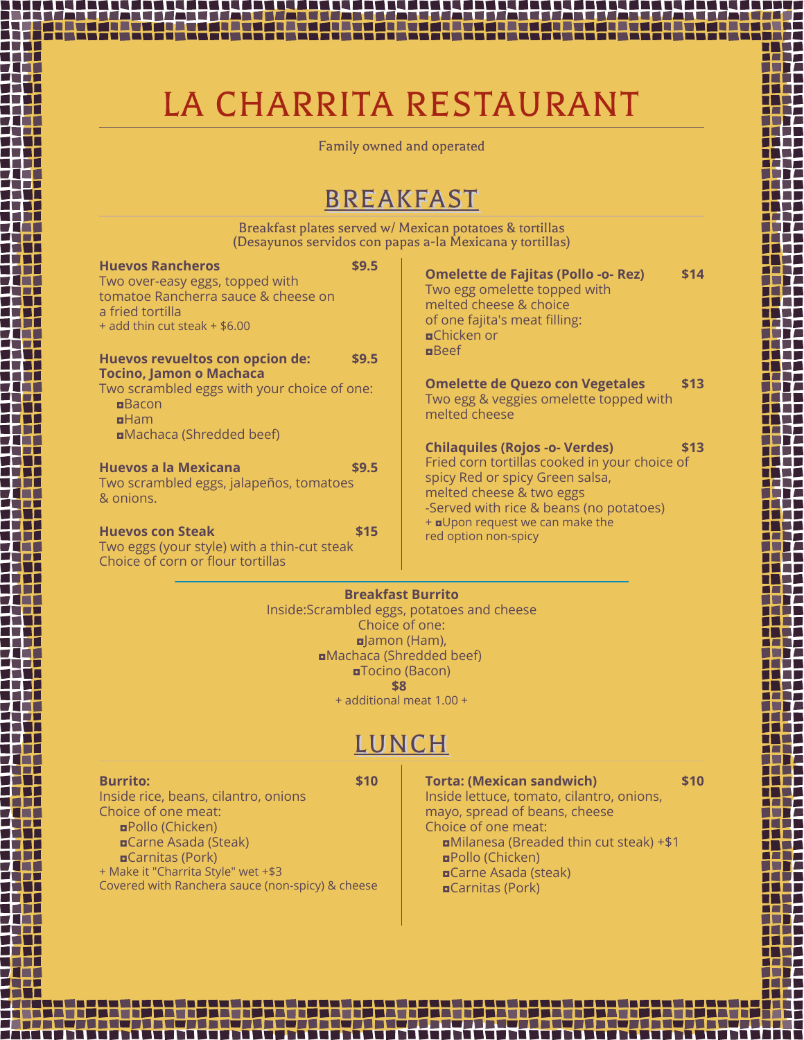# LA CHARRITA RESTAURANT

Family owned and operated

# BREAKFAST

Breakfast plates served w/ Mexican potatoes & tortillas (Desayunos servidos con papas a-la Mexicana y tortillas)

| <b>Huevos Rancheros</b><br>Two over-easy eggs, topped with<br>tomatoe Rancherra sauce & cheese on<br>a fried tortilla<br>$+$ add thin cut steak $+$ \$6.00 | \$9.5 | <b>Omelette de Fajitas (Pollo -o- Rez)</b><br>Two egg omelette topped with<br>melted cheese & choice<br>of one fajita's meat filling:<br><b>¤Chicken or</b>                                      | \$14 |
|------------------------------------------------------------------------------------------------------------------------------------------------------------|-------|--------------------------------------------------------------------------------------------------------------------------------------------------------------------------------------------------|------|
| Huevos revueltos con opcion de:                                                                                                                            | \$9.5 | $n$ Beef                                                                                                                                                                                         |      |
| <b>Tocino, Jamon o Machaca</b><br>Two scrambled eggs with your choice of one:<br>Bacon<br>$n$ Ham<br><b>¤Machaca (Shredded beef)</b>                       |       | <b>Omelette de Quezo con Vegetales</b><br>Two egg & veggies omelette topped with<br>melted cheese                                                                                                | \$13 |
| Huevos a la Mexicana<br>Two scrambled eggs, jalapeños, tomatoes<br>& onions.                                                                               | \$9.5 | <b>Chilaquiles (Rojos -o- Verdes)</b><br>Fried corn tortillas cooked in your choice of<br>spicy Red or spicy Green salsa,<br>melted cheese & two eggs<br>-Served with rice & beans (no potatoes) | \$13 |
| <b>Huevos con Steak</b><br>Two eggs (your style) with a thin-cut steak<br>Choice of corn or flour tortillas                                                | \$15  | + <b>d</b> Upon request we can make the<br>red option non-spicy                                                                                                                                  |      |

**Breakfast Burrito**

Inside:Scrambled eggs, potatoes and cheese Choice of one: ◘Jamon (Ham), ◘Machaca (Shredded beef) ◘Tocino (Bacon) **\$8** + additional meat 1.00 +

# LUNCH

#### **Burrito: \$10**

Inside rice, beans, cilantro, onions Choice of one meat: ◘Pollo (Chicken) ◘Carne Asada (Steak) ◘Carnitas (Pork) + Make it "Charrita Style" wet +\$3 Covered with Ranchera sauce (non-spicy) & cheese **Torta: (Mexican sandwich) \$10** Inside lettuce, tomato, cilantro, onions, mayo, spread of beans, cheese Choice of one meat: ◘Milanesa (Breaded thin cut steak) +\$1 ◘Pollo (Chicken) ◘Carne Asada (steak) ◘Carnitas (Pork)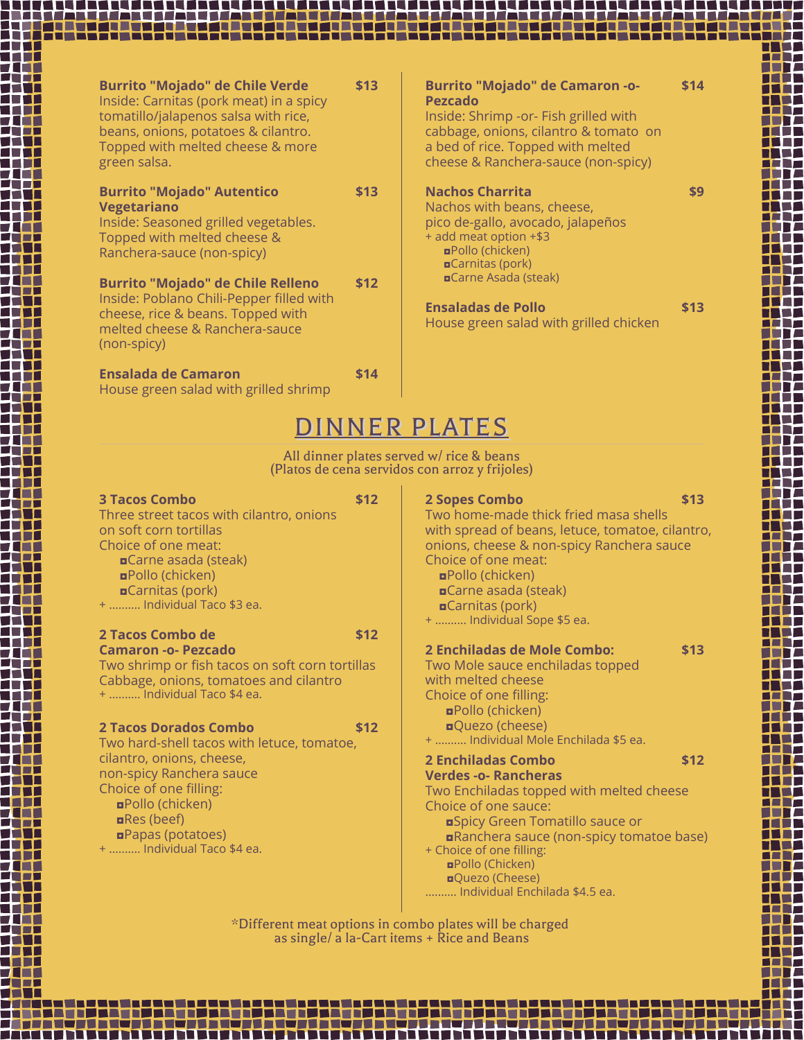| <b>Burrito "Mojado" de Chile Verde</b><br>Inside: Carnitas (pork meat) in a spicy<br>tomatillo/jalapenos salsa with rice,<br>beans, onions, potatoes & cilantro.<br>Topped with melted cheese & more<br>green salsa. | \$13 | <b>Burrito "Mojado" de Camaron -o-</b><br><b>Pezcado</b><br>Inside: Shrimp - or - Fish grilled with<br>cabbage, onions, cilantro & tomato on<br>a bed of rice. Topped with melted<br>cheese & Ranchera-sauce (non-spicy) | \$14 |  |  |
|----------------------------------------------------------------------------------------------------------------------------------------------------------------------------------------------------------------------|------|--------------------------------------------------------------------------------------------------------------------------------------------------------------------------------------------------------------------------|------|--|--|
| <b>Burrito "Mojado" Autentico</b><br><b>Vegetariano</b><br>Inside: Seasoned grilled vegetables.<br>Topped with melted cheese &<br>Ranchera-sauce (non-spicy)                                                         | \$13 | <b>Nachos Charrita</b><br>Nachos with beans, cheese,<br>pico de-gallo, avocado, jalapeños<br>+ add meat option +\$3<br><b>¤Pollo (chicken)</b><br><b>¤Carnitas (pork)</b>                                                |      |  |  |
| <b>Burrito "Mojado" de Chile Relleno</b><br>Inside: Poblano Chili-Pepper filled with<br>cheese, rice & beans. Topped with<br>melted cheese & Ranchera-sauce<br>(non-spicy)                                           | \$12 | <b>¤Carne Asada (steak)</b><br><b>Ensaladas de Pollo</b><br>House green salad with grilled chicken                                                                                                                       | \$13 |  |  |
| <b>Ensalada de Camaron</b><br>House green salad with grilled shrimp                                                                                                                                                  | \$14 |                                                                                                                                                                                                                          |      |  |  |
| DINNER PLATES                                                                                                                                                                                                        |      |                                                                                                                                                                                                                          |      |  |  |
|                                                                                                                                                                                                                      |      | All dinner plates served w/ rice & beans<br>(Platos de cena servidos con arroz y frijoles)                                                                                                                               |      |  |  |
| <b>3 Tacos Combo</b><br>Three street tacos with cilantro, onions<br>on soft corn tortillas                                                                                                                           | \$12 | <b>2 Sopes Combo</b><br>Two home-made thick fried masa shells<br>with spread of heaps letuce tomatoe cilentro                                                                                                            | \$13 |  |  |

on soft corn tortillas Choice of one meat: ◘Carne asada (steak) ◘Pollo (chicken) ◘Carnitas (pork) + .......... Individual Taco \$3 ea.

#### **2 Tacos Combo de \$12 Camaron -o- Pezcado**

Two shrimp or fish tacos on soft corn tortillas Cabbage, onions, tomatoes and cilantro + .......... Individual Taco \$4 ea.

#### **2 Tacos Dorados Combo \$12**

Two hard-shell tacos with letuce, tomatoe, cilantro, onions, cheese, non-spicy Ranchera sauce Choice of one filling: ◘Pollo (chicken) ◘Res (beef) ◘Papas (potatoes) + .......... Individual Taco \$4 ea.

### **2 Sopes Combo \$13** with spread of beans, letuce, tomatoe, cilantro, onions, cheese & non-spicy Ranchera sauce Choice of one meat: ◘Pollo (chicken) ◘Carne asada (steak) ◘Carnitas (pork) + .......... Individual Sope \$5 ea. **2 Enchiladas de Mole Combo: \$13** Two Mole sauce enchiladas topped with melted cheese Choice of one filling: ◘Pollo (chicken) ◘Quezo (cheese) + .......... Individual Mole Enchilada \$5 ea. **2 Enchiladas Combo \$12 Verdes -o- Rancheras** Two Enchiladas topped with melted cheese Choice of one sauce: ◘Spicy Green Tomatillo sauce or ◘Ranchera sauce (non-spicy tomatoe base) + Choice of one filling: ◘Pollo (Chicken)

.......... Individual Enchilada \$4.5 ea. \*Different meat options in combo plates will be charged as single/ a la-Cart items + Rice and Beans

. . . . . .

◘Quezo (Cheese)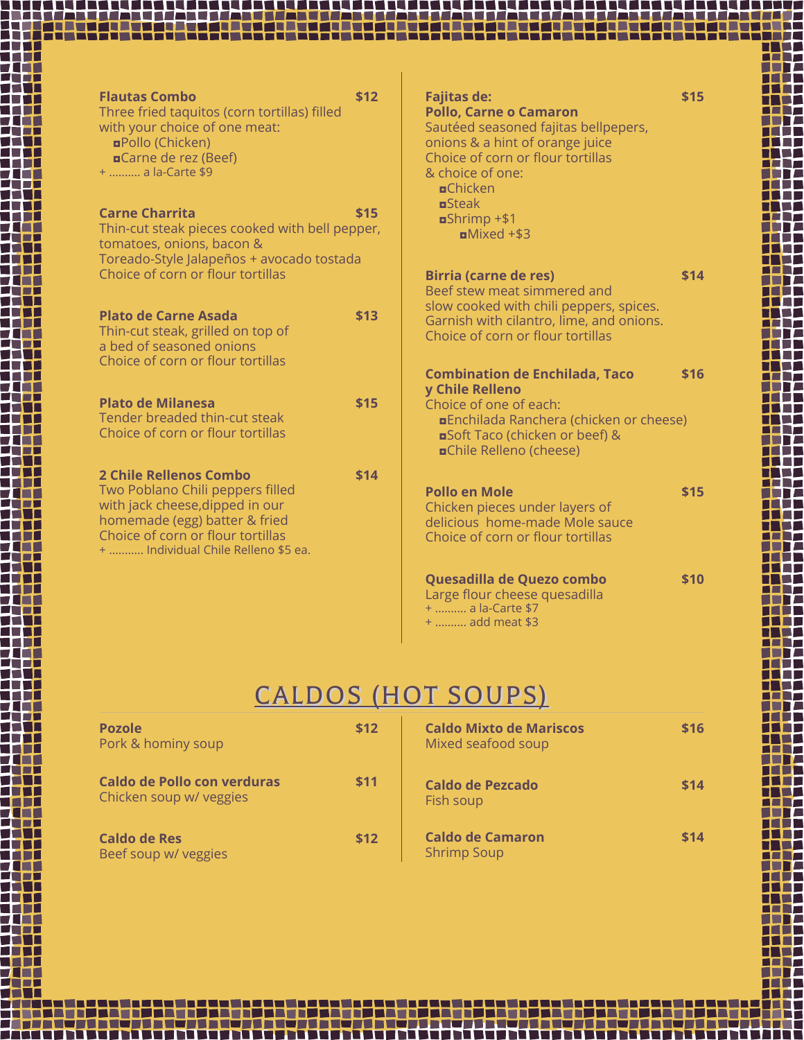| \$12<br><b>Flautas Combo</b><br>Three fried taquitos (corn tortillas) filled<br>with your choice of one meat:<br><b>¤Pollo (Chicken)</b><br><b>¤Carne de rez (Beef)</b><br>+  a la-Carte \$9 | <b>Fajitas de:</b><br>\$15<br><b>Pollo, Carne o Camaron</b><br>Sautéed seasoned fajitas bellpepers,<br>onions & a hint of orange juice<br>Choice of corn or flour tortillas<br>& choice of one:<br><b>¤</b> Chicken |
|----------------------------------------------------------------------------------------------------------------------------------------------------------------------------------------------|---------------------------------------------------------------------------------------------------------------------------------------------------------------------------------------------------------------------|
| <b>Carne Charrita</b><br>\$15<br>Thin-cut steak pieces cooked with bell pepper,<br>tomatoes, onions, bacon &<br>Toreado-Style Jalapeños + avocado tostada                                    | $B$ Steak<br>$s$ Shrimp +\$1<br>$Mixed + $3$                                                                                                                                                                        |
| Choice of corn or flour tortillas                                                                                                                                                            | <b>Birria (carne de res)</b><br>\$14<br>Beef stew meat simmered and                                                                                                                                                 |
| <b>Plato de Carne Asada</b><br>\$13<br>Thin-cut steak, grilled on top of<br>a bed of seasoned onions<br>Choice of corn or flour tortillas                                                    | slow cooked with chili peppers, spices.<br>Garnish with cilantro, lime, and onions.<br>Choice of corn or flour tortillas                                                                                            |
|                                                                                                                                                                                              | <b>Combination de Enchilada, Taco</b><br>\$16<br>y Chile Relleno                                                                                                                                                    |
| <b>Plato de Milanesa</b><br>\$15<br>Tender breaded thin-cut steak<br>Choice of corn or flour tortillas                                                                                       | Choice of one of each:<br><b>¤Enchilada Ranchera (chicken or cheese)</b><br><b>¤Soft Taco (chicken or beef) &amp;</b><br><b>¤Chile Relleno (cheese)</b>                                                             |
| <b>2 Chile Rellenos Combo</b><br>\$14                                                                                                                                                        |                                                                                                                                                                                                                     |
| Two Poblano Chili peppers filled<br>with jack cheese, dipped in our<br>homemade (egg) batter & fried<br>Choice of corn or flour tortillas<br>+  Individual Chile Relleno \$5 ea.             | <b>Pollo en Mole</b><br>\$15<br>Chicken pieces under layers of<br>delicious home-made Mole sauce<br>Choice of corn or flour tortillas                                                                               |
|                                                                                                                                                                                              | Quesadilla de Quezo combo<br>\$10<br>Large flour cheese quesadilla<br>+  a la-Carte \$7<br>+  add meat \$3                                                                                                          |

s van de 2007 gebouwerd de verskeie de volgen de viere aangeleiden van de verskeie de verskeie de verskeie geb<br>An de verskeie op de verskeie op de verskeie op de verskeie op de verskeie op de verskeie op de verskeie op de

**The Contract of the Contract of the Contract of the Contract of the Contract of the Contract of the Contract o** 

Ē.

DO

Ŧ

T T T. Ħ

iti<br>111

╋╀<del>╇</del><br>╇╄╇<br>╇╃┯<br>╇╃┹

H Ħ

┢╈╋┽<br>┢╊╅┪<br>┢╋┪┹┢<br>┹╇╈╇

 $\mathcal{L}_{\rm{max}}$ Ŧ

 $\blacksquare$ s fr Ħ 11

带

Ŧ

17

╅╅┵ 77

エ⋢

冊

₩.

**The Second Second** 扭

n a

NT. 拞

Ħ

---------------

▆▛▅ HF.

T 1

AT 1

a a fi

71 T Ŧ

П

**TALLET** Ŧ

n T

TZ

72

n T FF

ŦŦ

- 1

T Г

**Contract Contract Contract** 

**Contract Contract** 

Ξ

Γ

 $\blacksquare$ T **TELE** 

T L

**TITLE** 

Г

┱.

π

# CALDOS (HOT SOUPS)

| <b>Pozole</b><br>Pork & hominy soup                    | \$12 | <b>Caldo Mixto de Mariscos</b><br>Mixed seafood soup | \$16 |
|--------------------------------------------------------|------|------------------------------------------------------|------|
| Caldo de Pollo con verduras<br>Chicken soup w/ veggies | \$11 | <b>Caldo de Pezcado</b><br>Fish soup                 | \$14 |
| <b>Caldo de Res</b><br>Beef soup w/ veggies            | \$12 | <b>Caldo de Camaron</b><br><b>Shrimp Soup</b>        | \$14 |

---------

<del>▃▎▜▝▞▊▊▝▛▞▜▝▙▝▛▞▊▜▝▛▞▊▜▀▛▞</del>▛▛▎▋<del>▝▛▕▛▊▊▊▜▝▛▛</del>▛▛▏▜▏▜▀▛▛▜▜▀▛▀▛▜▛▜▀▛▀▛▜▛▜▀▛▀▛▜▏▜▀▛▀▛▛▏▜▀▛▀▛▀▛▜▝▛▛▛▛▛

5 = 3 % x 5 = 3 % x 5 = 3 % x